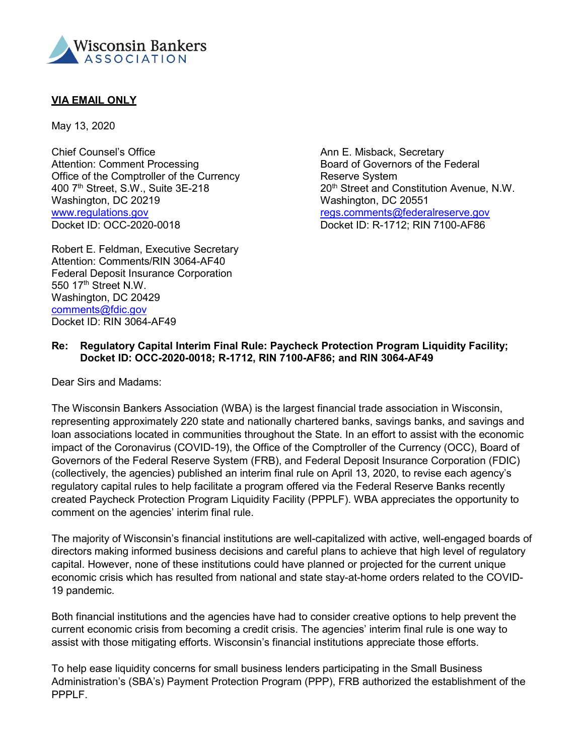

## **VIA EMAIL ONLY**

May 13, 2020

Chief Counsel's Office **Ann E. Misback, Secretary** Attention: Comment Processing The Board of Governors of the Federal Office of the Comptroller of the Currency<br>
400 7<sup>th</sup> Street, S.W., Suite 3E-218 20<sup>th</sup> Street and C Washington, DC 20219 Washington, DC 20551 [www.regulations.gov](http://www.regulations.gov/) example and the [regs.comments@federalreserve.gov](mailto:regs.comments@federalreserve.gov) Docket ID: OCC-2020-0018 Docket ID: R-1712; RIN 7100-AF86

Robert E. Feldman, Executive Secretary Attention: Comments/RIN 3064-AF40 Federal Deposit Insurance Corporation 550 17<sup>th</sup> Street N.W. Washington, DC 20429 [comments@fdic.gov](mailto:comments@fdic.gov) Docket ID: RIN 3064-AF49

20<sup>th</sup> Street and Constitution Avenue, N.W.

## **Re: Regulatory Capital Interim Final Rule: Paycheck Protection Program Liquidity Facility; Docket ID: OCC-2020-0018; R-1712, RIN 7100-AF86; and RIN 3064-AF49**

Dear Sirs and Madams:

The Wisconsin Bankers Association (WBA) is the largest financial trade association in Wisconsin, representing approximately 220 state and nationally chartered banks, savings banks, and savings and loan associations located in communities throughout the State. In an effort to assist with the economic impact of the Coronavirus (COVID-19), the Office of the Comptroller of the Currency (OCC), Board of Governors of the Federal Reserve System (FRB), and Federal Deposit Insurance Corporation (FDIC) (collectively, the agencies) published an interim final rule on April 13, 2020, to revise each agency's regulatory capital rules to help facilitate a program offered via the Federal Reserve Banks recently created Paycheck Protection Program Liquidity Facility (PPPLF). WBA appreciates the opportunity to comment on the agencies' interim final rule.

The majority of Wisconsin's financial institutions are well-capitalized with active, well-engaged boards of directors making informed business decisions and careful plans to achieve that high level of regulatory capital. However, none of these institutions could have planned or projected for the current unique economic crisis which has resulted from national and state stay-at-home orders related to the COVID-19 pandemic.

Both financial institutions and the agencies have had to consider creative options to help prevent the current economic crisis from becoming a credit crisis. The agencies' interim final rule is one way to assist with those mitigating efforts. Wisconsin's financial institutions appreciate those efforts.

To help ease liquidity concerns for small business lenders participating in the Small Business Administration's (SBA's) Payment Protection Program (PPP), FRB authorized the establishment of the PPPLF.